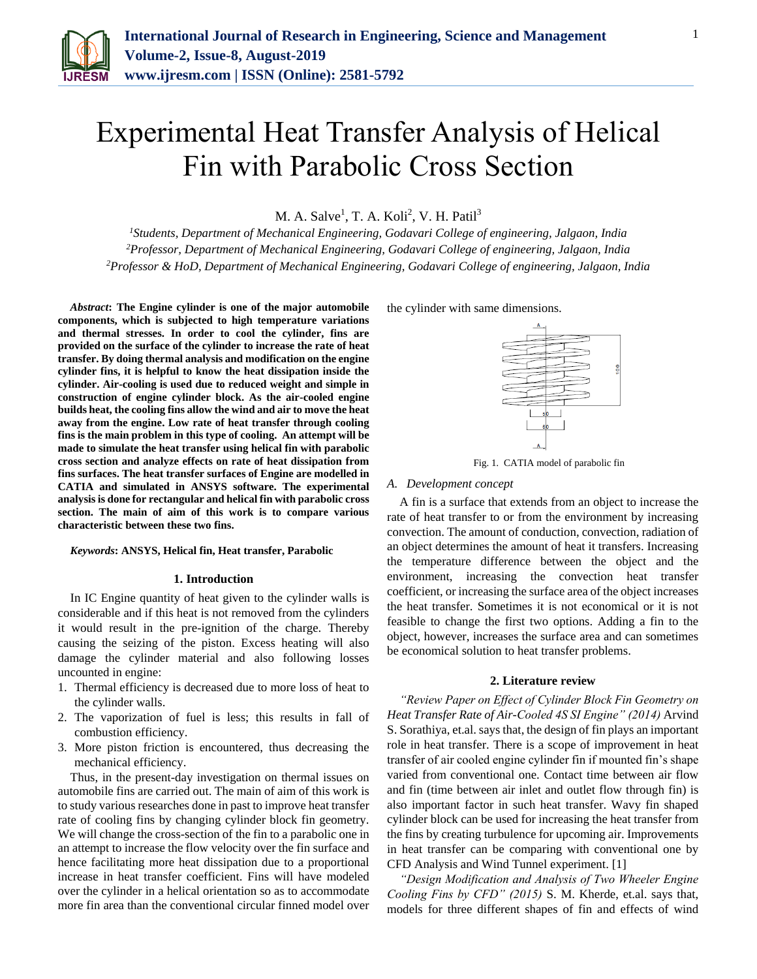

# Experimental Heat Transfer Analysis of Helical Fin with Parabolic Cross Section

M. A. Salve<sup>1</sup>, T. A. Koli<sup>2</sup>, V. H. Patil<sup>3</sup>

*<sup>1</sup>Students, Department of Mechanical Engineering, Godavari College of engineering, Jalgaon, India <sup>2</sup>Professor, Department of Mechanical Engineering, Godavari College of engineering, Jalgaon, India <sup>2</sup>Professor & HoD, Department of Mechanical Engineering, Godavari College of engineering, Jalgaon, India*

*Abstract***: The Engine cylinder is one of the major automobile components, which is subjected to high temperature variations and thermal stresses. In order to cool the cylinder, fins are provided on the surface of the cylinder to increase the rate of heat transfer. By doing thermal analysis and modification on the engine cylinder fins, it is helpful to know the heat dissipation inside the cylinder. Air-cooling is used due to reduced weight and simple in construction of engine cylinder block. As the air-cooled engine builds heat, the cooling fins allow the wind and air to move the heat away from the engine. Low rate of heat transfer through cooling fins is the main problem in this type of cooling. An attempt will be made to simulate the heat transfer using helical fin with parabolic cross section and analyze effects on rate of heat dissipation from fins surfaces. The heat transfer surfaces of Engine are modelled in CATIA and simulated in ANSYS software. The experimental analysis is done for rectangular and helical fin with parabolic cross section. The main of aim of this work is to compare various characteristic between these two fins.**

## *Keywords***: ANSYS, Helical fin, Heat transfer, Parabolic**

#### **1. Introduction**

In IC Engine quantity of heat given to the cylinder walls is considerable and if this heat is not removed from the cylinders it would result in the pre-ignition of the charge. Thereby causing the seizing of the piston. Excess heating will also damage the cylinder material and also following losses uncounted in engine:

- 1. Thermal efficiency is decreased due to more loss of heat to the cylinder walls.
- 2. The vaporization of fuel is less; this results in fall of combustion efficiency.
- 3. More piston friction is encountered, thus decreasing the mechanical efficiency.

Thus, in the present-day investigation on thermal issues on automobile fins are carried out. The main of aim of this work is to study various researches done in past to improve heat transfer rate of cooling fins by changing cylinder block fin geometry. We will change the cross-section of the fin to a parabolic one in an attempt to increase the flow velocity over the fin surface and hence facilitating more heat dissipation due to a proportional increase in heat transfer coefficient. Fins will have modeled over the cylinder in a helical orientation so as to accommodate more fin area than the conventional circular finned model over the cylinder with same dimensions.



Fig. 1*.* CATIA model of parabolic fin

## *A. Development concept*

A fin is a surface that extends from an object to increase the rate of heat transfer to or from the environment by increasing convection. The amount of conduction, convection, radiation of an object determines the amount of heat it transfers. Increasing the temperature difference between the object and the environment, increasing the convection heat transfer coefficient, or increasing the surface area of the object increases the heat transfer. Sometimes it is not economical or it is not feasible to change the first two options. Adding a fin to the object, however, increases the surface area and can sometimes be economical solution to heat transfer problems.

#### **2. Literature review**

*"Review Paper on Effect of Cylinder Block Fin Geometry on Heat Transfer Rate of Air-Cooled 4S SI Engine" (2014)* Arvind S. Sorathiya, et.al. says that, the design of fin plays an important role in heat transfer. There is a scope of improvement in heat transfer of air cooled engine cylinder fin if mounted fin's shape varied from conventional one. Contact time between air flow and fin (time between air inlet and outlet flow through fin) is also important factor in such heat transfer. Wavy fin shaped cylinder block can be used for increasing the heat transfer from the fins by creating turbulence for upcoming air. Improvements in heat transfer can be comparing with conventional one by CFD Analysis and Wind Tunnel experiment. [1]

*"Design Modification and Analysis of Two Wheeler Engine Cooling Fins by CFD" (2015)* S. M. Kherde, et.al. says that, models for three different shapes of fin and effects of wind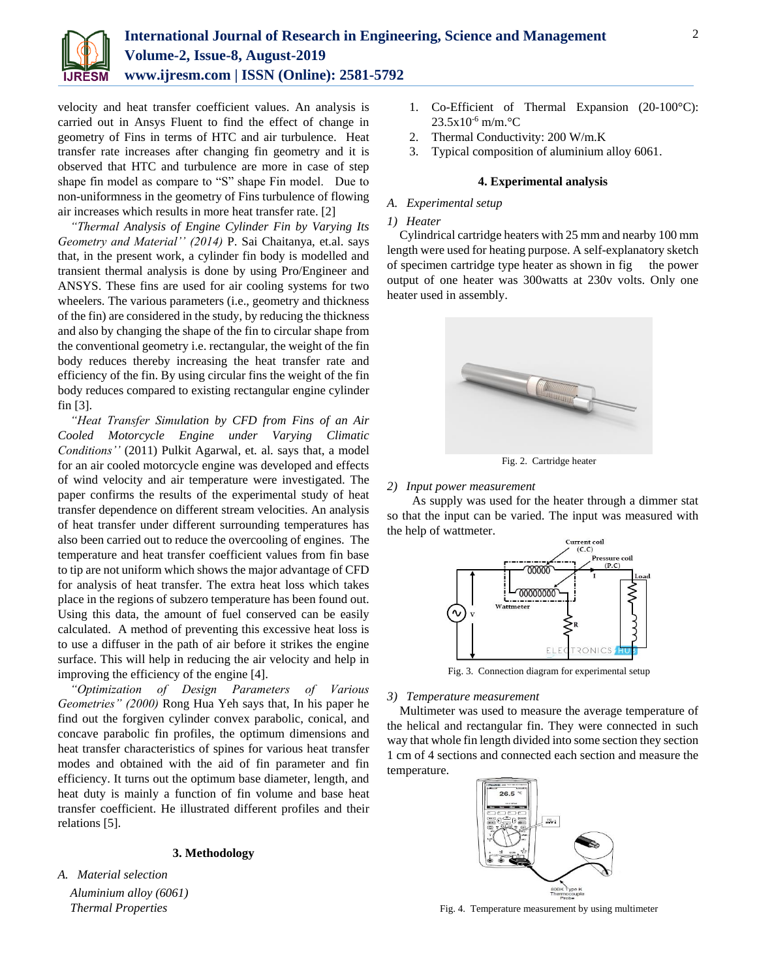

velocity and heat transfer coefficient values. An analysis is carried out in Ansys Fluent to find the effect of change in geometry of Fins in terms of HTC and air turbulence. Heat transfer rate increases after changing fin geometry and it is observed that HTC and turbulence are more in case of step shape fin model as compare to "S" shape Fin model. Due to non-uniformness in the geometry of Fins turbulence of flowing air increases which results in more heat transfer rate. [2]

*"Thermal Analysis of Engine Cylinder Fin by Varying Its Geometry and Material'' (2014)* P. Sai Chaitanya, et.al. says that, in the present work, a cylinder fin body is modelled and transient thermal analysis is done by using Pro/Engineer and ANSYS. These fins are used for air cooling systems for two wheelers. The various parameters (i.e., geometry and thickness of the fin) are considered in the study, by reducing the thickness and also by changing the shape of the fin to circular shape from the conventional geometry i.e. rectangular, the weight of the fin body reduces thereby increasing the heat transfer rate and efficiency of the fin. By using circular fins the weight of the fin body reduces compared to existing rectangular engine cylinder fin [3].

*"Heat Transfer Simulation by CFD from Fins of an Air Cooled Motorcycle Engine under Varying Climatic Conditions''* (2011) Pulkit Agarwal, et. al. says that, a model for an air cooled motorcycle engine was developed and effects of wind velocity and air temperature were investigated. The paper confirms the results of the experimental study of heat transfer dependence on different stream velocities. An analysis of heat transfer under different surrounding temperatures has also been carried out to reduce the overcooling of engines. The temperature and heat transfer coefficient values from fin base to tip are not uniform which shows the major advantage of CFD for analysis of heat transfer. The extra heat loss which takes place in the regions of subzero temperature has been found out. Using this data, the amount of fuel conserved can be easily calculated. A method of preventing this excessive heat loss is to use a diffuser in the path of air before it strikes the engine surface. This will help in reducing the air velocity and help in improving the efficiency of the engine [4].

*"Optimization of Design Parameters of Various Geometries" (2000)* Rong Hua Yeh says that, In his paper he find out the forgiven cylinder convex parabolic, conical, and concave parabolic fin profiles, the optimum dimensions and heat transfer characteristics of spines for various heat transfer modes and obtained with the aid of fin parameter and fin efficiency. It turns out the optimum base diameter, length, and heat duty is mainly a function of fin volume and base heat transfer coefficient. He illustrated different profiles and their relations [5].

## **3. Methodology**

*A. Material selection Aluminium alloy (6061) Thermal Properties*

- 1. Co-Efficient of Thermal Expansion (20-100°C): 23.5x10-6 m/m.°C
- 2. Thermal Conductivity: 200 W/m.K
- 3. Typical composition of aluminium alloy 6061.

# **4. Experimental analysis**

# *A. Experimental setup*

## *1) Heater*

Cylindrical cartridge heaters with 25 mm and nearby 100 mm length were used for heating purpose. A self-explanatory sketch of specimen cartridge type heater as shown in fig the power output of one heater was 300watts at 230v volts. Only one heater used in assembly.



Fig. 2. Cartridge heater

#### *2) Input power measurement*

As supply was used for the heater through a dimmer stat so that the input can be varied. The input was measured with the help of wattmeter.



Fig. 3. Connection diagram for experimental setup

#### *3) Temperature measurement*

Multimeter was used to measure the average temperature of the helical and rectangular fin. They were connected in such way that whole fin length divided into some section they section 1 cm of 4 sections and connected each section and measure the temperature.



Fig. 4. Temperature measurement by using multimeter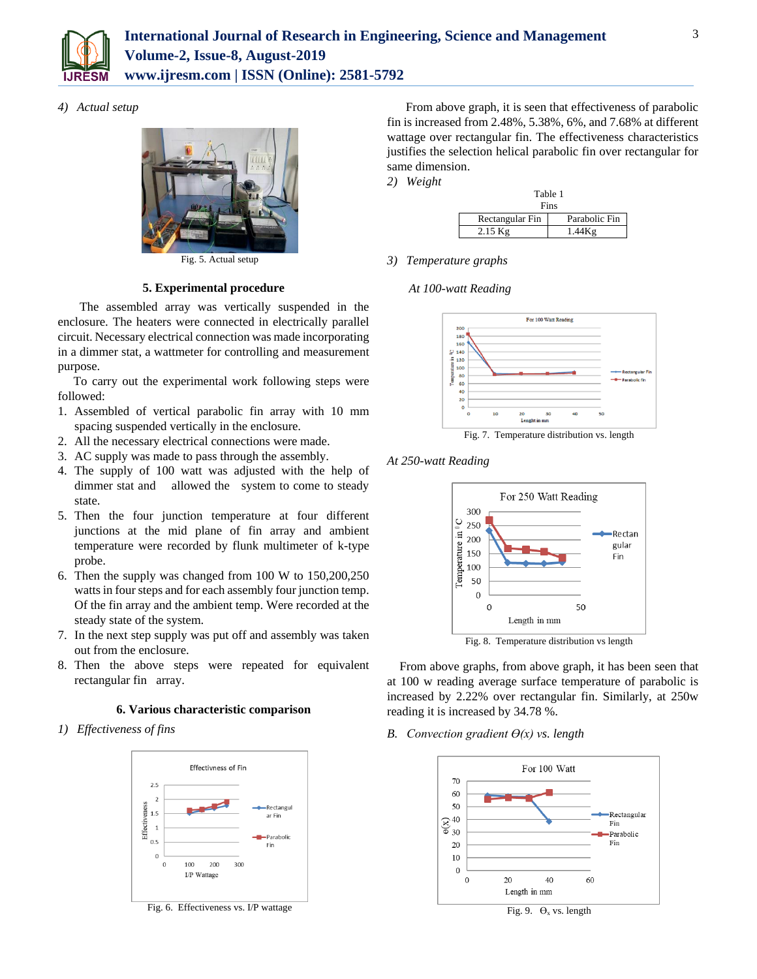

# *4) Actual setup*



Fig. 5. Actual setup

# **5. Experimental procedure**

 The assembled array was vertically suspended in the enclosure. The heaters were connected in electrically parallel circuit. Necessary electrical connection was made incorporating in a dimmer stat, a wattmeter for controlling and measurement purpose.

To carry out the experimental work following steps were followed:

- 1. Assembled of vertical parabolic fin array with 10 mm spacing suspended vertically in the enclosure.
- 2. All the necessary electrical connections were made.
- 3. AC supply was made to pass through the assembly.
- 4. The supply of 100 watt was adjusted with the help of dimmer stat and allowed the system to come to steady state.
- 5. Then the four junction temperature at four different junctions at the mid plane of fin array and ambient temperature were recorded by flunk multimeter of k-type probe.
- 6. Then the supply was changed from 100 W to 150,200,250 watts in four steps and for each assembly four junction temp. Of the fin array and the ambient temp. Were recorded at the steady state of the system.
- 7. In the next step supply was put off and assembly was taken out from the enclosure.
- 8. Then the above steps were repeated for equivalent rectangular fin array.

# **6. Various characteristic comparison**

*1) Effectiveness of fins*



Fig. 6. Effectiveness vs. I/P wattage

 From above graph, it is seen that effectiveness of parabolic fin is increased from 2.48%, 5.38%, 6%, and 7.68% at different wattage over rectangular fin. The effectiveness characteristics justifies the selection helical parabolic fin over rectangular for same dimension.

*2) Weight*

| таріе т         |               |
|-----------------|---------------|
| Fins            |               |
| Rectangular Fin | Parabolic Fin |
| $2.15$ Kg       | 1.44Kg        |

 $T = 11.4$ 

*3) Temperature graphs*

*At 100-watt Reading*



Fig. 7. Temperature distribution vs. length

*At 250-watt Reading*



Fig. 8. Temperature distribution vs length

From above graphs, from above graph, it has been seen that at 100 w reading average surface temperature of parabolic is increased by 2.22% over rectangular fin. Similarly, at 250w reading it is increased by 34.78 %.

# *B. Convection gradient*  $\Theta(x)$  *vs. length*



Fig. 9.  $\Theta_x$  vs. length